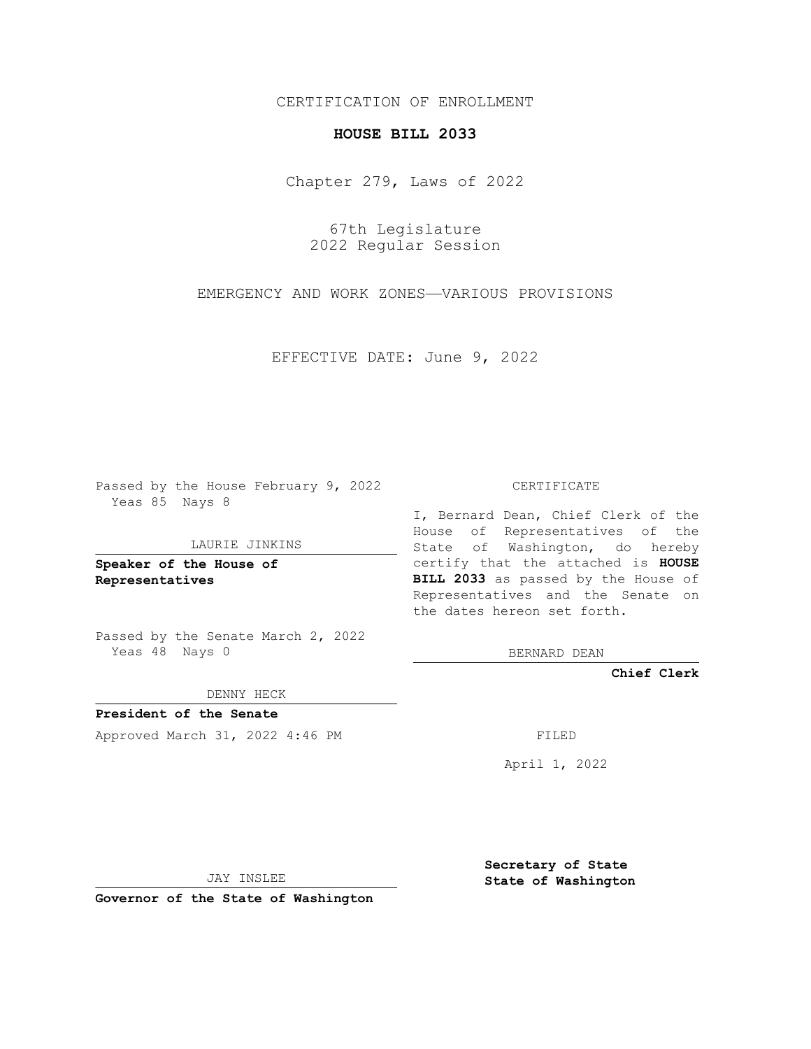## CERTIFICATION OF ENROLLMENT

## **HOUSE BILL 2033**

Chapter 279, Laws of 2022

67th Legislature 2022 Regular Session

EMERGENCY AND WORK ZONES—VARIOUS PROVISIONS

EFFECTIVE DATE: June 9, 2022

Passed by the House February 9, 2022 Yeas 85 Nays 8

## LAURIE JINKINS

**Speaker of the House of Representatives**

Passed by the Senate March 2, 2022 Yeas 48 Nays 0

DENNY HECK

**President of the Senate** Approved March 31, 2022 4:46 PM FILED

CERTIFICATE

I, Bernard Dean, Chief Clerk of the House of Representatives of the State of Washington, do hereby certify that the attached is **HOUSE BILL 2033** as passed by the House of Representatives and the Senate on the dates hereon set forth.

BERNARD DEAN

**Chief Clerk**

April 1, 2022

JAY INSLEE

**Governor of the State of Washington**

**Secretary of State State of Washington**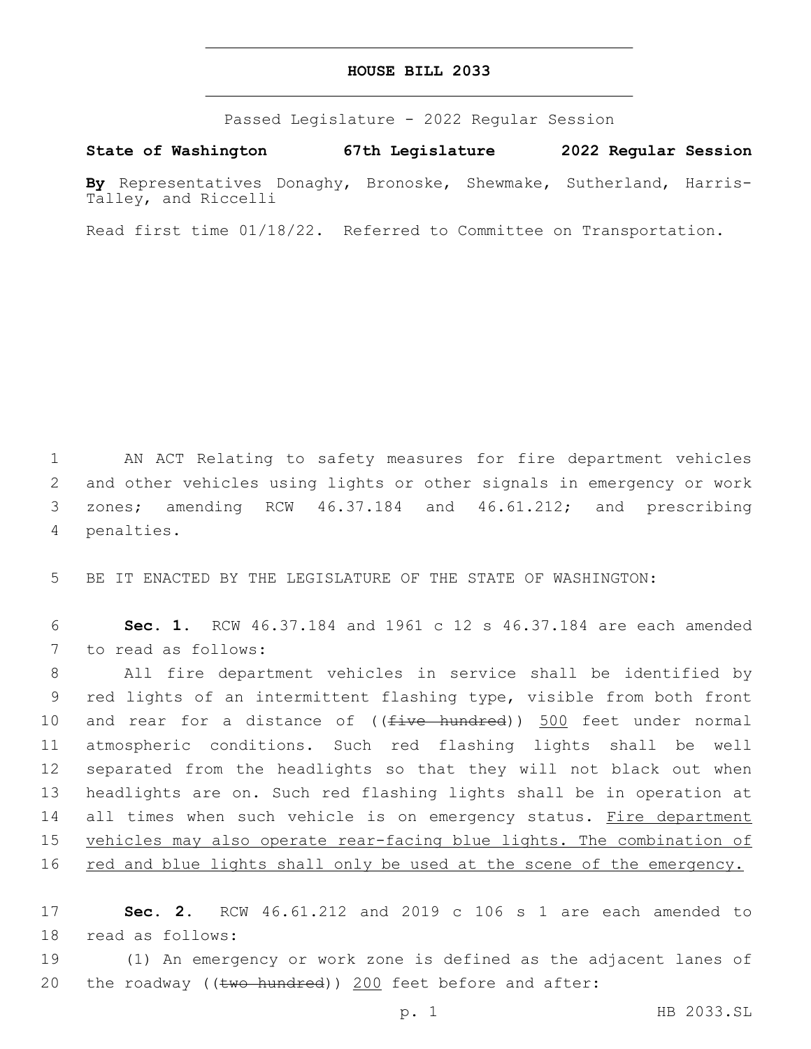## **HOUSE BILL 2033**

Passed Legislature - 2022 Regular Session

**State of Washington 67th Legislature 2022 Regular Session**

**By** Representatives Donaghy, Bronoske, Shewmake, Sutherland, Harris-Talley, and Riccelli

Read first time 01/18/22. Referred to Committee on Transportation.

 AN ACT Relating to safety measures for fire department vehicles and other vehicles using lights or other signals in emergency or work zones; amending RCW 46.37.184 and 46.61.212; and prescribing 4 penalties.

5 BE IT ENACTED BY THE LEGISLATURE OF THE STATE OF WASHINGTON:

6 **Sec. 1.** RCW 46.37.184 and 1961 c 12 s 46.37.184 are each amended 7 to read as follows:

8 All fire department vehicles in service shall be identified by 9 red lights of an intermittent flashing type, visible from both front 10 and rear for a distance of ((five hundred)) 500 feet under normal 11 atmospheric conditions. Such red flashing lights shall be well 12 separated from the headlights so that they will not black out when 13 headlights are on. Such red flashing lights shall be in operation at 14 all times when such vehicle is on emergency status. Fire department 15 vehicles may also operate rear-facing blue lights. The combination of 16 red and blue lights shall only be used at the scene of the emergency.

17 **Sec. 2.** RCW 46.61.212 and 2019 c 106 s 1 are each amended to 18 read as follows:

19 (1) An emergency or work zone is defined as the adjacent lanes of 20 the roadway ((two hundred)) 200 feet before and after: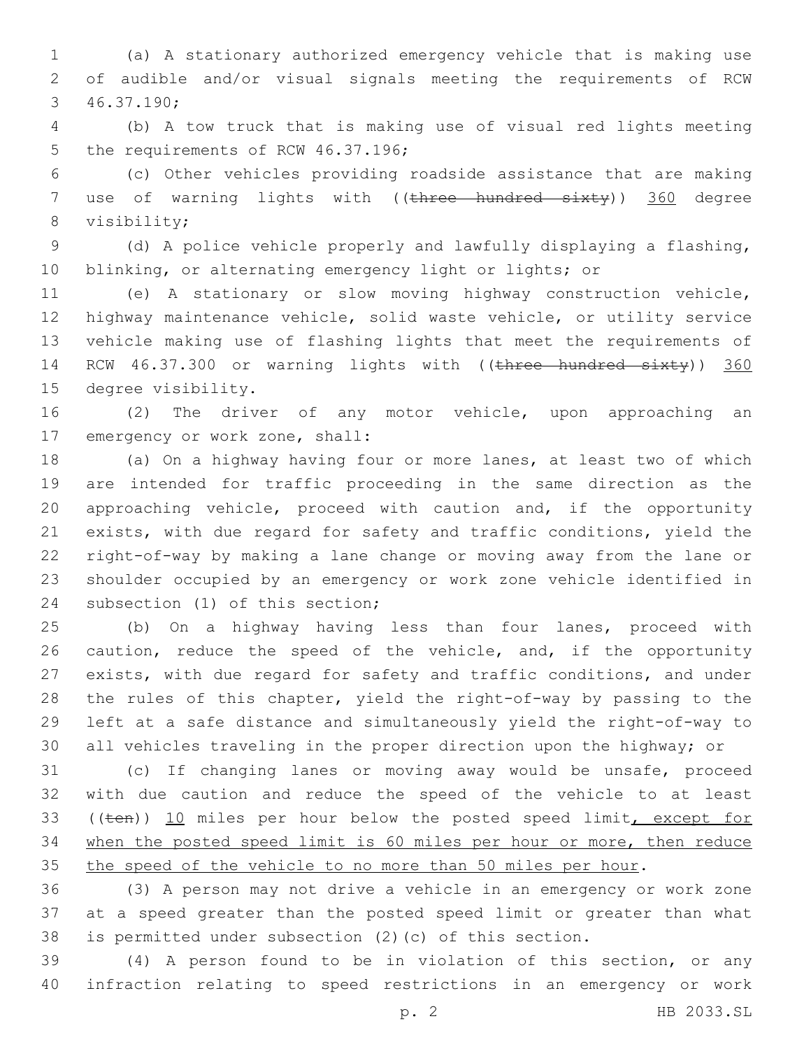(a) A stationary authorized emergency vehicle that is making use of audible and/or visual signals meeting the requirements of RCW 46.37.190;3

 (b) A tow truck that is making use of visual red lights meeting 5 the requirements of RCW 46.37.196;

 (c) Other vehicles providing roadside assistance that are making 7 use of warning lights with ((three hundred sixty)) 360 degree 8 visibility;

 (d) A police vehicle properly and lawfully displaying a flashing, blinking, or alternating emergency light or lights; or

 (e) A stationary or slow moving highway construction vehicle, highway maintenance vehicle, solid waste vehicle, or utility service vehicle making use of flashing lights that meet the requirements of 14 RCW 46.37.300 or warning lights with ((three hundred sixty)) 360 15 degree visibility.

 (2) The driver of any motor vehicle, upon approaching an 17 emergency or work zone, shall:

 (a) On a highway having four or more lanes, at least two of which are intended for traffic proceeding in the same direction as the approaching vehicle, proceed with caution and, if the opportunity exists, with due regard for safety and traffic conditions, yield the right-of-way by making a lane change or moving away from the lane or shoulder occupied by an emergency or work zone vehicle identified in 24 subsection (1) of this section;

 (b) On a highway having less than four lanes, proceed with 26 caution, reduce the speed of the vehicle, and, if the opportunity exists, with due regard for safety and traffic conditions, and under the rules of this chapter, yield the right-of-way by passing to the left at a safe distance and simultaneously yield the right-of-way to all vehicles traveling in the proper direction upon the highway; or

 (c) If changing lanes or moving away would be unsafe, proceed with due caution and reduce the speed of the vehicle to at least 33 ((ten)) 10 miles per hour below the posted speed limit, except for when the posted speed limit is 60 miles per hour or more, then reduce 35 the speed of the vehicle to no more than 50 miles per hour.

 (3) A person may not drive a vehicle in an emergency or work zone at a speed greater than the posted speed limit or greater than what is permitted under subsection (2)(c) of this section.

 (4) A person found to be in violation of this section, or any infraction relating to speed restrictions in an emergency or work

p. 2 HB 2033.SL